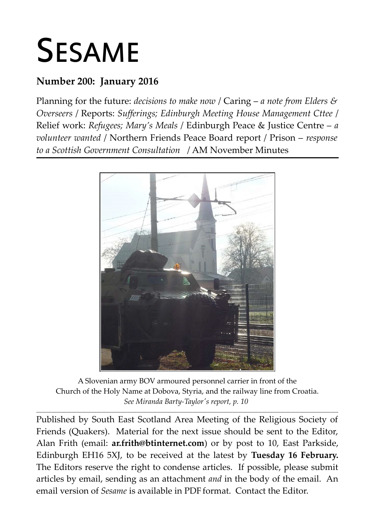# SESAME

# **Number 200: January 2016**

Planning for the future: *decisions to make now* / Caring – *a note from Elders & Overseers* / Reports: *Sufferings; Edinburgh Meeting House Management Cttee* / Relief work: *Refugees; Mary's Meals* / Edinburgh Peace & Justice Centre – *a volunteer wanted* / Northern Friends Peace Board report / Prison – *response to a Scottish Government Consultation* / AM November Minutes



A Slovenian army BOV armoured personnel carrier in front of the Church of the Holy Name at Dobova, Styria, and the railway line from Croatia. *See Miranda Barty-Taylor's report, p. 10* 

**\_\_\_\_\_\_\_\_\_\_\_\_\_\_\_\_\_\_\_\_\_\_\_\_\_\_\_\_\_\_\_\_\_\_\_\_\_\_\_\_\_\_\_\_\_\_\_\_\_\_\_\_\_\_\_\_\_\_\_\_\_\_\_\_\_\_\_\_\_\_\_\_\_\_\_\_\_\_\_\_\_\_\_\_\_\_\_\_\_\_\_\_\_\_\_\_\_\_\_\_\_\_\_\_\_\_\_\_\_\_\_\_\_\_\_\_\_\_\_\_**

Published by South East Scotland Area Meeting of the Religious Society of Friends (Quakers). Material for the next issue should be sent to the Editor, Alan Frith (email: **[ar.frith@btinternet.com](mailto:ar.frith@btinternet.com)**) or by post to 10, East Parkside, Edinburgh EH16 5XJ, to be received at the latest by **Tuesday 16 February.** The Editors reserve the right to condense articles. If possible, please submit articles by email, sending as an attachment *and* in the body of the email. An email version of *Sesame* is available in PDF format. Contact the Editor.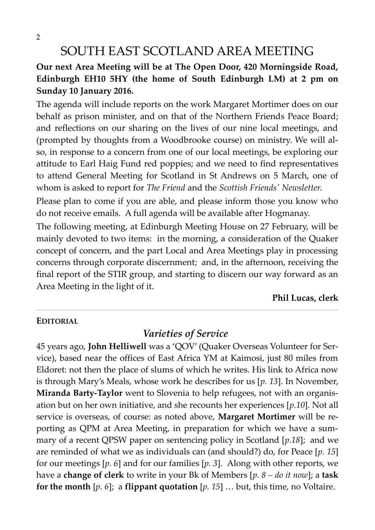2

# SOUTH EAST SCOTLAND AREA MEETING

#### **Our next Area Meeting will be at The Open Door, 420 Morningside Road, Edinburgh EH10 5HY (the home of South Edinburgh LM) at 2 pm on Sunday 10 January 2016.**

The agenda will include reports on the work Margaret Mortimer does on our behalf as prison minister, and on that of the Northern Friends Peace Board; and reflections on our sharing on the lives of our nine local meetings, and (prompted by thoughts from a Woodbrooke course) on ministry. We will also, in response to a concern from one of our local meetings, be exploring our attitude to Earl Haig Fund red poppies; and we need to find representatives to attend General Meeting for Scotland in St Andrews on 5 March, one of whom is asked to report for *The Friend* and the *Scottish Friends' Newsletter*.

Please plan to come if you are able, and please inform those you know who do not receive emails. A full agenda will be available after Hogmanay.

The following meeting, at Edinburgh Meeting House on 27 February, will be mainly devoted to two items: in the morning, a consideration of the Quaker concept of concern, and the part Local and Area Meetings play in processing concerns through corporate discernment; and, in the afternoon, receiving the final report of the STIR group, and starting to discern our way forward as an Area Meeting in the light of it.

**Phil Lucas, clerk**

#### **EDITORIAL**

#### *Varieties of Service*

\_\_\_\_\_\_\_\_\_\_\_\_\_\_\_\_\_\_\_\_\_\_\_\_\_\_\_\_\_\_\_\_\_\_\_\_\_\_\_\_\_\_\_\_\_\_\_\_\_\_\_\_\_\_\_\_\_\_\_\_\_\_\_\_\_\_\_\_\_\_\_\_\_\_\_\_\_\_\_\_\_\_\_\_\_\_\_\_\_\_\_\_\_\_\_\_\_\_\_\_\_\_\_\_\_\_\_\_\_\_\_\_\_\_\_\_\_\_\_\_\_\_\_\_\_\_\_\_\_\_\_\_\_\_\_\_\_\_\_\_\_\_\_\_\_\_\_\_\_\_\_\_\_\_\_\_\_\_\_\_\_\_\_\_\_\_\_\_\_\_\_\_\_\_\_\_\_\_\_\_\_\_\_\_\_\_\_\_\_\_\_\_\_\_\_\_\_\_\_\_\_\_\_\_\_\_\_\_\_\_\_\_\_\_\_\_\_\_\_\_\_\_\_\_\_\_\_\_\_\_\_\_\_\_\_\_\_\_\_\_

45 years ago, **John Helliwell** was a 'QOV' (Quaker Overseas Volunteer for Service), based near the offices of East Africa YM at Kaimosi, just 80 miles from Eldoret: not then the place of slums of which he writes. His link to Africa now is through Mary's Meals, whose work he describes for us [*p. 13*]. In November, **Miranda Barty-Taylor** went to Slovenia to help refugees, not with an organisation but on her own initiative, and she recounts her experiences [*p.10*]. Not all service is overseas, of course: as noted above, **Margaret Mortimer** will be reporting as QPM at Area Meeting, in preparation for which we have a summary of a recent QPSW paper on sentencing policy in Scotland [*p.18*]; and we are reminded of what we as individuals can (and should?) do, for Peace [*p. 15*] for our meetings [*p. 6*] and for our families [*p. 3*]. Along with other reports, we have a **change of clerk** to write in your Bk of Members [*p. 8 – do it now*]; a **task for the month**  $[p, 6]$ ; a **flippant quotation**  $[p, 15]$  ... but, this time, no Voltaire.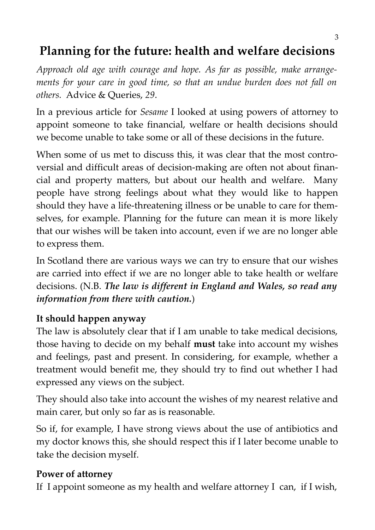# **Planning for the future: health and welfare decisions**

*Approach old age with courage and hope. As far as possible, make arrangements for your care in good time, so that an undue burden does not fall on others.* Advice & Queries, *29*.

In a previous article for *Sesame* I looked at using powers of attorney to appoint someone to take financial, welfare or health decisions should we become unable to take some or all of these decisions in the future.

When some of us met to discuss this, it was clear that the most controversial and difficult areas of decision-making are often not about financial and property matters, but about our health and welfare. Many people have strong feelings about what they would like to happen should they have a life-threatening illness or be unable to care for themselves, for example. Planning for the future can mean it is more likely that our wishes will be taken into account, even if we are no longer able to express them.

In Scotland there are various ways we can try to ensure that our wishes are carried into effect if we are no longer able to take health or welfare decisions. (N.B. *The law is different in England and Wales, so read any information from there with caution.*)

## **It should happen anyway**

The law is absolutely clear that if I am unable to take medical decisions, those having to decide on my behalf **must** take into account my wishes and feelings, past and present. In considering, for example, whether a treatment would benefit me, they should try to find out whether I had expressed any views on the subject.

They should also take into account the wishes of my nearest relative and main carer, but only so far as is reasonable.

So if, for example, I have strong views about the use of antibiotics and my doctor knows this, she should respect this if I later become unable to take the decision myself.

#### **Power of attorney**

If I appoint someone as my health and welfare attorney I can, if I wish,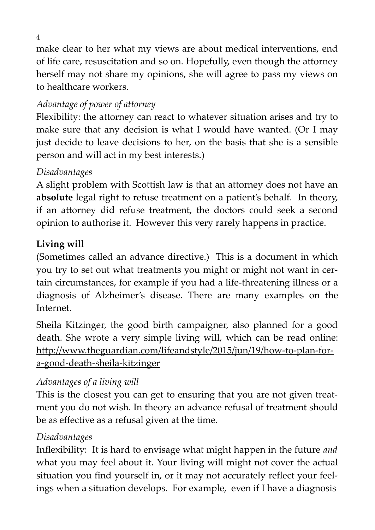make clear to her what my views are about medical interventions, end of life care, resuscitation and so on. Hopefully, even though the attorney herself may not share my opinions, she will agree to pass my views on to healthcare workers.

# *Advantage of power of attorney*

Flexibility: the attorney can react to whatever situation arises and try to make sure that any decision is what I would have wanted. (Or I may just decide to leave decisions to her, on the basis that she is a sensible person and will act in my best interests.)

# *Disadvantages*

A slight problem with Scottish law is that an attorney does not have an **absolute** legal right to refuse treatment on a patient's behalf. In theory, if an attorney did refuse treatment, the doctors could seek a second opinion to authorise it. However this very rarely happens in practice.

# **Living will**

(Sometimes called an advance directive.) This is a document in which you try to set out what treatments you might or might not want in certain circumstances, for example if you had a life-threatening illness or a diagnosis of Alzheimer's disease. There are many examples on the Internet.

Sheila Kitzinger, the good birth campaigner, also planned for a good death. She wrote a very simple living will, which can be read online: [http://www.theguardian.com/lifeandstyle/2015/jun/19/how-to-plan-for](http://www.theguardian.com/lifeandstyle/2015/jun/19/how-to-plan-for-a-good-death-sheila-kitzinger)[a-good-death-sheila-kitzinger](http://www.theguardian.com/lifeandstyle/2015/jun/19/how-to-plan-for-a-good-death-sheila-kitzinger)

## *Advantages of a living will*

This is the closest you can get to ensuring that you are not given treatment you do not wish. In theory an advance refusal of treatment should be as effective as a refusal given at the time.

#### *Disadvantages*

Inflexibility: It is hard to envisage what might happen in the future *and* what you may feel about it. Your living will might not cover the actual situation you find yourself in, or it may not accurately reflect your feelings when a situation develops. For example, even if I have a diagnosis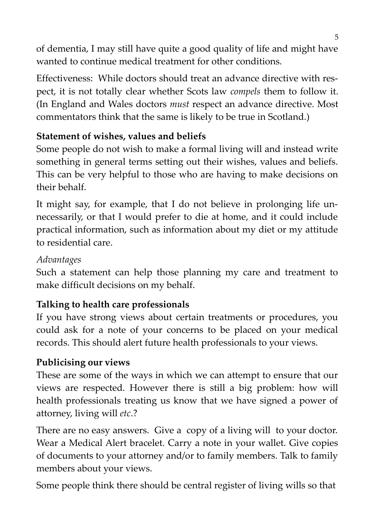of dementia, I may still have quite a good quality of life and might have wanted to continue medical treatment for other conditions.

Effectiveness: While doctors should treat an advance directive with respect, it is not totally clear whether Scots law *compels* them to follow it. (In England and Wales doctors *must* respect an advance directive. Most commentators think that the same is likely to be true in Scotland.)

# **Statement of wishes, values and beliefs**

Some people do not wish to make a formal living will and instead write something in general terms setting out their wishes, values and beliefs. This can be very helpful to those who are having to make decisions on their behalf.

It might say, for example, that I do not believe in prolonging life unnecessarily, or that I would prefer to die at home, and it could include practical information, such as information about my diet or my attitude to residential care.

# *Advantages*

Such a statement can help those planning my care and treatment to make difficult decisions on my behalf.

# **Talking to health care professionals**

If you have strong views about certain treatments or procedures, you could ask for a note of your concerns to be placed on your medical records. This should alert future health professionals to your views.

# **Publicising our views**

These are some of the ways in which we can attempt to ensure that our views are respected. However there is still a big problem: how will health professionals treating us know that we have signed a power of attorney, living will *etc*.?

There are no easy answers. Give a copy of a living will to your doctor. Wear a Medical Alert bracelet. Carry a note in your wallet. Give copies of documents to your attorney and/or to family members. Talk to family members about your views.

Some people think there should be central register of living wills so that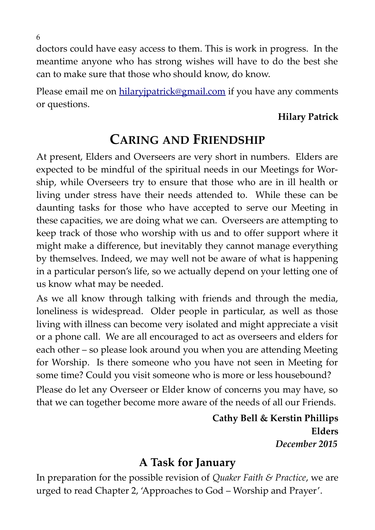doctors could have easy access to them. This is work in progress. In the meantime anyone who has strong wishes will have to do the best she can to make sure that those who should know, do know.

Please email me on [hilaryjpatrick@gmail.com](mailto:hilaryjpatrick@gmail.com) if you have any comments or questions.

# **Hilary Patrick**

# **CARING AND FRIENDSHIP**

At present, Elders and Overseers are very short in numbers. Elders are expected to be mindful of the spiritual needs in our Meetings for Worship, while Overseers try to ensure that those who are in ill health or living under stress have their needs attended to. While these can be daunting tasks for those who have accepted to serve our Meeting in these capacities, we are doing what we can. Overseers are attempting to keep track of those who worship with us and to offer support where it might make a difference, but inevitably they cannot manage everything by themselves. Indeed, we may well not be aware of what is happening in a particular person's life, so we actually depend on your letting one of us know what may be needed.

As we all know through talking with friends and through the media, loneliness is widespread. Older people in particular, as well as those living with illness can become very isolated and might appreciate a visit or a phone call. We are all encouraged to act as overseers and elders for each other – so please look around you when you are attending Meeting for Worship. Is there someone who you have not seen in Meeting for some time? Could you visit someone who is more or less housebound?

Please do let any Overseer or Elder know of concerns you may have, so that we can together become more aware of the needs of all our Friends.

> **Cathy Bell & Kerstin Phillips Elders** *December 2015*

# **A Task for January**

In preparation for the possible revision of *Quaker Faith & Practice*, we are urged to read Chapter 2, 'Approaches to God – Worship and Prayer'.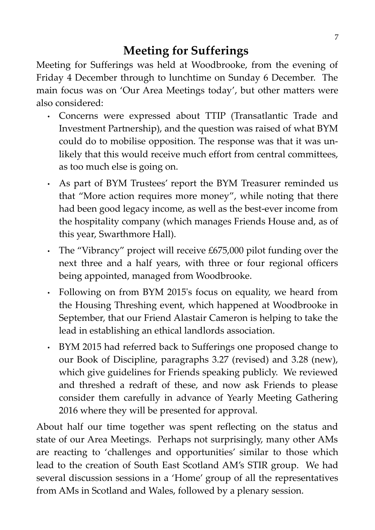# **Meeting for Sufferings**

Meeting for Sufferings was held at Woodbrooke, from the evening of Friday 4 December through to lunchtime on Sunday 6 December. The main focus was on 'Our Area Meetings today', but other matters were also considered:

- Concerns were expressed about TTIP (Transatlantic Trade and Investment Partnership), and the question was raised of what BYM could do to mobilise opposition. The response was that it was unlikely that this would receive much effort from central committees, as too much else is going on.
- As part of BYM Trustees' report the BYM Treasurer reminded us that "More action requires more money", while noting that there had been good legacy income, as well as the best-ever income from the hospitality company (which manages Friends House and, as of this year, Swarthmore Hall).
- The "Vibrancy" project will receive £675,000 pilot funding over the next three and a half years, with three or four regional officers being appointed, managed from Woodbrooke.
- Following on from BYM 2015's focus on equality, we heard from the Housing Threshing event, which happened at Woodbrooke in September, that our Friend Alastair Cameron is helping to take the lead in establishing an ethical landlords association.
- BYM 2015 had referred back to Sufferings one proposed change to our Book of Discipline, paragraphs 3.27 (revised) and 3.28 (new), which give guidelines for Friends speaking publicly. We reviewed and threshed a redraft of these, and now ask Friends to please consider them carefully in advance of Yearly Meeting Gathering 2016 where they will be presented for approval.

About half our time together was spent reflecting on the status and state of our Area Meetings. Perhaps not surprisingly, many other AMs are reacting to 'challenges and opportunities' similar to those which lead to the creation of South East Scotland AM's STIR group. We had several discussion sessions in a 'Home' group of all the representatives from AMs in Scotland and Wales, followed by a plenary session.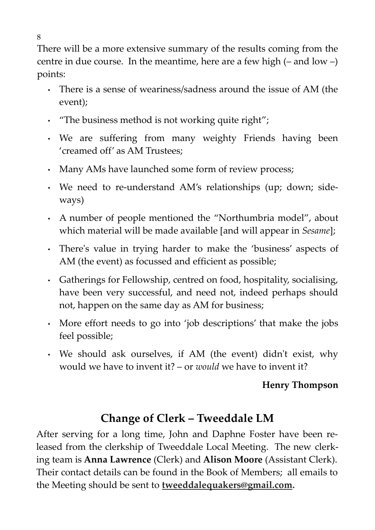There will be a more extensive summary of the results coming from the centre in due course. In the meantime, here are a few high  $(-$  and low  $-$ ) points:

- There is a sense of weariness/sadness around the issue of AM (the event);
- "The business method is not working quite right";
- We are suffering from many weighty Friends having been 'creamed off' as AM Trustees;
- Many AMs have launched some form of review process;
- We need to re-understand AM's relationships (up; down; sideways)
- A number of people mentioned the "Northumbria model", about which material will be made available [and will appear in *Sesame*];
- There's value in trying harder to make the 'business' aspects of AM (the event) as focussed and efficient as possible;
- Gatherings for Fellowship, centred on food, hospitality, socialising, have been very successful, and need not, indeed perhaps should not, happen on the same day as AM for business;
- More effort needs to go into 'job descriptions' that make the jobs feel possible;
- We should ask ourselves, if AM (the event) didn't exist, why would we have to invent it? – or *would* we have to invent it?

## **Henry Thompson**

# **Change of Clerk – Tweeddale LM**

After serving for a long time, John and Daphne Foster have been released from the clerkship of Tweeddale Local Meeting. The new clerking team is **Anna Lawrence** (Clerk) and **Alison Moore** (Assistant Clerk). Their contact details can be found in the Book of Members; all emails to the Meeting should be sent to **tweeddalequakers@gmail.com.**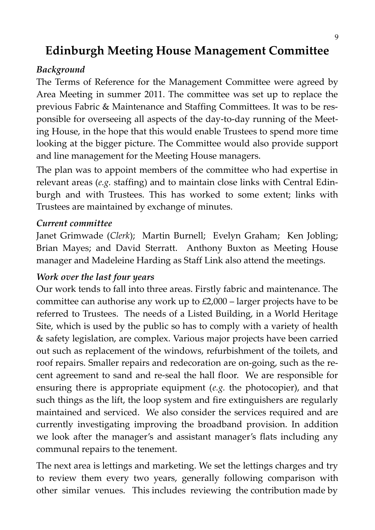# **Edinburgh Meeting House Management Committee**

#### *Background*

The Terms of Reference for the Management Committee were agreed by Area Meeting in summer 2011. The committee was set up to replace the previous Fabric & Maintenance and Staffing Committees. It was to be responsible for overseeing all aspects of the day-to-day running of the Meeting House, in the hope that this would enable Trustees to spend more time looking at the bigger picture. The Committee would also provide support and line management for the Meeting House managers.

The plan was to appoint members of the committee who had expertise in relevant areas (*e.g.* staffing) and to maintain close links with Central Edinburgh and with Trustees. This has worked to some extent; links with Trustees are maintained by exchange of minutes.

#### *Current committee*

Janet Grimwade (*Clerk*); Martin Burnell; Evelyn Graham; Ken Jobling; Brian Mayes; and David Sterratt. Anthony Buxton as Meeting House manager and Madeleine Harding as Staff Link also attend the meetings.

#### *Work over the last four years*

Our work tends to fall into three areas. Firstly fabric and maintenance. The committee can authorise any work up to £2,000 – larger projects have to be referred to Trustees. The needs of a Listed Building, in a World Heritage Site, which is used by the public so has to comply with a variety of health & safety legislation, are complex. Various major projects have been carried out such as replacement of the windows, refurbishment of the toilets, and roof repairs. Smaller repairs and redecoration are on-going, such as the recent agreement to sand and re-seal the hall floor. We are responsible for ensuring there is appropriate equipment (*e.g.* the photocopier), and that such things as the lift, the loop system and fire extinguishers are regularly maintained and serviced. We also consider the services required and are currently investigating improving the broadband provision. In addition we look after the manager's and assistant manager's flats including any communal repairs to the tenement.

The next area is lettings and marketing. We set the lettings charges and try to review them every two years, generally following comparison with other similar venues. This includes reviewing the contribution made by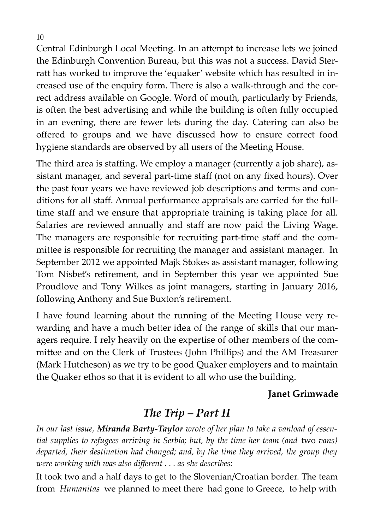Central Edinburgh Local Meeting. In an attempt to increase lets we joined the Edinburgh Convention Bureau, but this was not a success. David Sterratt has worked to improve the 'equaker' website which has resulted in increased use of the enquiry form. There is also a walk-through and the correct address available on Google. Word of mouth, particularly by Friends, is often the best advertising and while the building is often fully occupied in an evening, there are fewer lets during the day. Catering can also be offered to groups and we have discussed how to ensure correct food hygiene standards are observed by all users of the Meeting House.

The third area is staffing. We employ a manager (currently a job share), assistant manager, and several part-time staff (not on any fixed hours). Over the past four years we have reviewed job descriptions and terms and conditions for all staff. Annual performance appraisals are carried for the fulltime staff and we ensure that appropriate training is taking place for all. Salaries are reviewed annually and staff are now paid the Living Wage. The managers are responsible for recruiting part-time staff and the committee is responsible for recruiting the manager and assistant manager. In September 2012 we appointed Majk Stokes as assistant manager, following Tom Nisbet's retirement, and in September this year we appointed Sue Proudlove and Tony Wilkes as joint managers, starting in January 2016, following Anthony and Sue Buxton's retirement.

I have found learning about the running of the Meeting House very rewarding and have a much better idea of the range of skills that our managers require. I rely heavily on the expertise of other members of the committee and on the Clerk of Trustees (John Phillips) and the AM Treasurer (Mark Hutcheson) as we try to be good Quaker employers and to maintain the Quaker ethos so that it is evident to all who use the building.

#### **Janet Grimwade**

## *The Trip – Part II*

*In our last issue, Miranda Barty-Taylor wrote of her plan to take a vanload of essential supplies to refugees arriving in Serbia; but, by the time her team (and* two *vans) departed, their destination had changed; and, by the time they arrived, the group they were working with was also different . . . as she describes:* 

It took two and a half days to get to the Slovenian/Croatian border. The team from *Humanitas* we planned to meet there had gone to Greece, to help with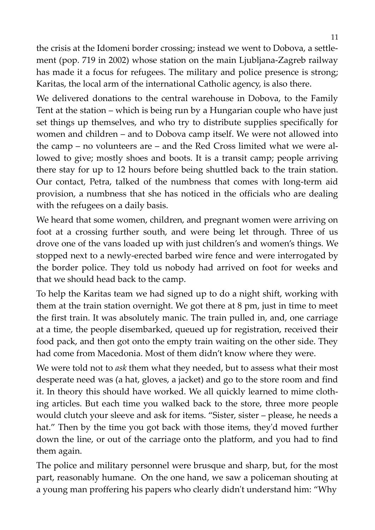the crisis at the Idomeni border crossing; instead we went to Dobova, a settlement (pop. 719 in 2002) whose station on the main Ljubljana-Zagreb railway has made it a focus for refugees. The military and police presence is strong; Karitas, the local arm of the international Catholic agency, is also there.

We delivered donations to the central warehouse in Dobova, to the Family Tent at the station – which is being run by a Hungarian couple who have just set things up themselves, and who try to distribute supplies specifically for women and children – and to Dobova camp itself. We were not allowed into the camp – no volunteers are – and the Red Cross limited what we were allowed to give; mostly shoes and boots. It is a transit camp; people arriving there stay for up to 12 hours before being shuttled back to the train station. Our contact, Petra, talked of the numbness that comes with long-term aid provision, a numbness that she has noticed in the officials who are dealing with the refugees on a daily basis.

We heard that some women, children, and pregnant women were arriving on foot at a crossing further south, and were being let through. Three of us drove one of the vans loaded up with just children's and women's things. We stopped next to a newly-erected barbed wire fence and were interrogated by the border police. They told us nobody had arrived on foot for weeks and that we should head back to the camp.

To help the Karitas team we had signed up to do a night shift, working with them at the train station overnight. We got there at 8 pm, just in time to meet the first train. It was absolutely manic. The train pulled in, and, one carriage at a time, the people disembarked, queued up for registration, received their food pack, and then got onto the empty train waiting on the other side. They had come from Macedonia. Most of them didn't know where they were.

We were told not to *ask* them what they needed, but to assess what their most desperate need was (a hat, gloves, a jacket) and go to the store room and find it. In theory this should have worked. We all quickly learned to mime clothing articles. But each time you walked back to the store, three more people would clutch your sleeve and ask for items. "Sister, sister – please, he needs a hat." Then by the time you got back with those items, they'd moved further down the line, or out of the carriage onto the platform, and you had to find them again.

The police and military personnel were brusque and sharp, but, for the most part, reasonably humane. On the one hand, we saw a policeman shouting at a young man proffering his papers who clearly didn't understand him: "Why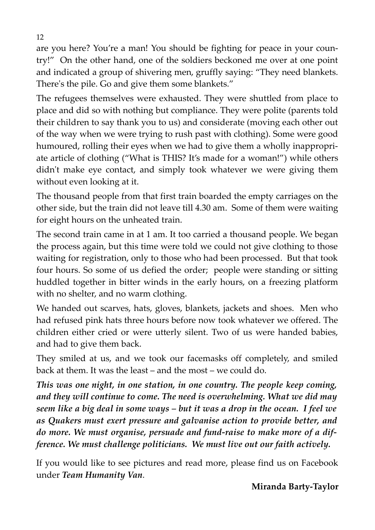are you here? You're a man! You should be fighting for peace in your country!" On the other hand, one of the soldiers beckoned me over at one point and indicated a group of shivering men, gruffly saying: "They need blankets. There's the pile. Go and give them some blankets."

The refugees themselves were exhausted. They were shuttled from place to place and did so with nothing but compliance. They were polite (parents told their children to say thank you to us) and considerate (moving each other out of the way when we were trying to rush past with clothing). Some were good humoured, rolling their eyes when we had to give them a wholly inappropriate article of clothing ("What is THIS? It's made for a woman!") while others didn't make eye contact, and simply took whatever we were giving them without even looking at it.

The thousand people from that first train boarded the empty carriages on the other side, but the train did not leave till 4.30 am. Some of them were waiting for eight hours on the unheated train.

The second train came in at 1 am. It too carried a thousand people. We began the process again, but this time were told we could not give clothing to those waiting for registration, only to those who had been processed. But that took four hours. So some of us defied the order; people were standing or sitting huddled together in bitter winds in the early hours, on a freezing platform with no shelter, and no warm clothing.

We handed out scarves, hats, gloves, blankets, jackets and shoes. Men who had refused pink hats three hours before now took whatever we offered. The children either cried or were utterly silent. Two of us were handed babies, and had to give them back.

They smiled at us, and we took our facemasks off completely, and smiled back at them. It was the least – and the most – we could do.

*This was one night, in one station, in one country. The people keep coming, and they will continue to come. The need is overwhelming. What we did may seem like a big deal in some ways – but it was a drop in the ocean. I feel we as Quakers must exert pressure and galvanise action to provide better, and do more. We must organise, persuade and fund-raise to make more of a difference. We must challenge politicians. We must live out our faith actively.* 

If you would like to see pictures and read more, please find us on Facebook under *Team Humanity Van*.

#### **Miranda Barty-Taylor**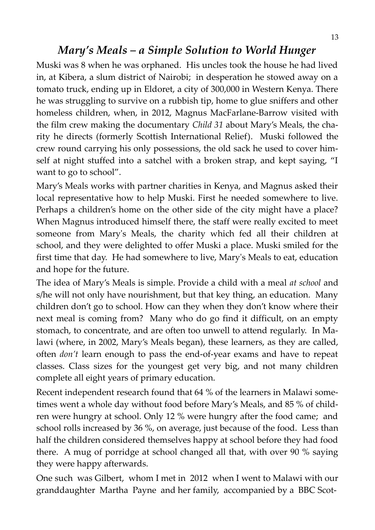# *Mary's Meals – a Simple Solution to World Hunger*

Muski was 8 when he was orphaned. His uncles took the house he had lived in, at Kibera, a slum district of Nairobi; in desperation he stowed away on a tomato truck, ending up in Eldoret, a city of 300,000 in Western Kenya. There he was struggling to survive on a rubbish tip, home to glue sniffers and other homeless children, when, in 2012, Magnus MacFarlane-Barrow visited with the film crew making the documentary *Child 31* about Mary's Meals, the charity he directs (formerly Scottish International Relief). Muski followed the crew round carrying his only possessions, the old sack he used to cover himself at night stuffed into a satchel with a broken strap, and kept saying, "I want to go to school".

Mary's Meals works with partner charities in Kenya, and Magnus asked their local representative how to help Muski. First he needed somewhere to live. Perhaps a children's home on the other side of the city might have a place? When Magnus introduced himself there, the staff were really excited to meet someone from Mary's Meals, the charity which fed all their children at school, and they were delighted to offer Muski a place. Muski smiled for the first time that day. He had somewhere to live, Mary's Meals to eat, education and hope for the future.

The idea of Mary's Meals is simple. Provide a child with a meal *at school* and s/he will not only have nourishment, but that key thing, an education. Many children don't go to school. How can they when they don't know where their next meal is coming from? Many who do go find it difficult, on an empty stomach, to concentrate, and are often too unwell to attend regularly. In Malawi (where, in 2002, Mary's Meals began), these learners, as they are called, often *don't* learn enough to pass the end-of-year exams and have to repeat classes. Class sizes for the youngest get very big, and not many children complete all eight years of primary education.

Recent independent research found that 64 % of the learners in Malawi sometimes went a whole day without food before Mary's Meals, and 85 % of children were hungry at school. Only 12 % were hungry after the food came; and school rolls increased by 36 %, on average, just because of the food. Less than half the children considered themselves happy at school before they had food there. A mug of porridge at school changed all that, with over 90 % saying they were happy afterwards.

One such was Gilbert, whom I met in 2012 when I went to Malawi with our granddaughter Martha Payne and her family, accompanied by a BBC Scot-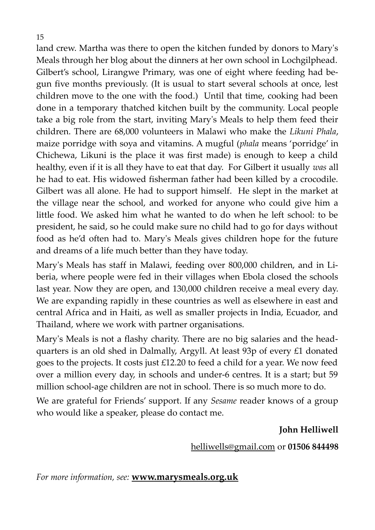land crew. Martha was there to open the kitchen funded by donors to Mary's Meals through her blog about the dinners at her own school in Lochgilphead. Gilbert's school, Lirangwe Primary, was one of eight where feeding had begun five months previously. (It is usual to start several schools at once, lest children move to the one with the food.) Until that time, cooking had been done in a temporary thatched kitchen built by the community. Local people take a big role from the start, inviting Mary's Meals to help them feed their children. There are 68,000 volunteers in Malawi who make the *Likuni Phala*, maize porridge with soya and vitamins. A mugful (*phala* means 'porridge' in Chichewa, Likuni is the place it was first made) is enough to keep a child healthy, even if it is all they have to eat that day. For Gilbert it usually *was* all he had to eat. His widowed fisherman father had been killed by a crocodile. Gilbert was all alone. He had to support himself. He slept in the market at the village near the school, and worked for anyone who could give him a little food. We asked him what he wanted to do when he left school: to be president, he said, so he could make sure no child had to go for days without food as he'd often had to. Mary's Meals gives children hope for the future and dreams of a life much better than they have today.

Mary's Meals has staff in Malawi, feeding over 800,000 children, and in Liberia, where people were fed in their villages when Ebola closed the schools last year. Now they are open, and 130,000 children receive a meal every day. We are expanding rapidly in these countries as well as elsewhere in east and central Africa and in Haiti, as well as smaller projects in India, Ecuador, and Thailand, where we work with partner organisations.

Mary's Meals is not a flashy charity. There are no big salaries and the headquarters is an old shed in Dalmally, Argyll. At least 93p of every £1 donated goes to the projects. It costs just £12.20 to feed a child for a year. We now feed over a million every day, in schools and under-6 centres. It is a start; but 59 million school-age children are not in school. There is so much more to do.

We are grateful for Friends' support. If any *Sesame* reader knows of a group who would like a speaker, please do contact me.

**John Helliwell**

[helliwells@gmail.com](mailto:helliwells@gmail.com) or **01506 844498**

*For more information, see:* **[www.marysmeals.org.uk](http://www.marysmeals.org.uk/)**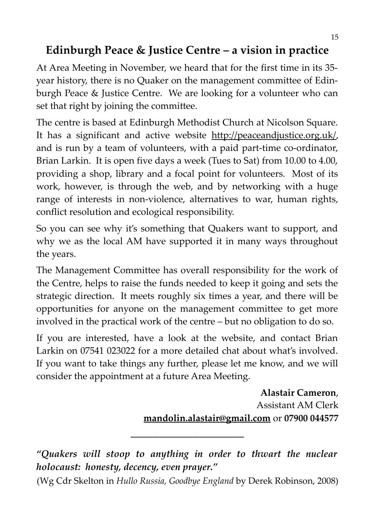# **Edinburgh Peace & Justice Centre – a vision in practice**

At Area Meeting in November, we heard that for the first time in its 35 year history, there is no Quaker on the management committee of Edinburgh Peace & Justice Centre. We are looking for a volunteer who can set that right by joining the committee.

The centre is based at Edinburgh Methodist Church at Nicolson Square. It has a significant and active website [http://peaceandjustice.org.uk/,](http://peaceandjustice.org.uk/) and is run by a team of volunteers, with a paid part-time co-ordinator, Brian Larkin. It is open five days a week (Tues to Sat) from 10.00 to 4.00, providing a shop, library and a focal point for volunteers. Most of its work, however, is through the web, and by networking with a huge range of interests in non-violence, alternatives to war, human rights, conflict resolution and ecological responsibility.

So you can see why it's something that Quakers want to support, and why we as the local AM have supported it in many ways throughout the years.

The Management Committee has overall responsibility for the work of the Centre, helps to raise the funds needed to keep it going and sets the strategic direction. It meets roughly six times a year, and there will be opportunities for anyone on the management committee to get more involved in the practical work of the centre – but no obligation to do so.

If you are interested, have a look at the website, and contact Brian Larkin on 07541 023022 for a more detailed chat about what's involved. If you want to take things any further, please let me know, and we will consider the appointment at a future Area Meeting.

> **Alastair Cameron**, Assistant AM Clerk **[mandolin.alastair@gmail.com](mailto:mandolin.alastair@gmail.com)** or **07900 044577**

*"Quakers will stoop to anything in order to thwart the nuclear holocaust: honesty, decency, even prayer."* 

\_\_\_\_\_\_\_\_\_\_\_\_\_\_\_\_\_\_\_\_

<sup>(</sup>Wg Cdr Skelton in *Hullo Russia, Goodbye England* by Derek Robinson, 2008)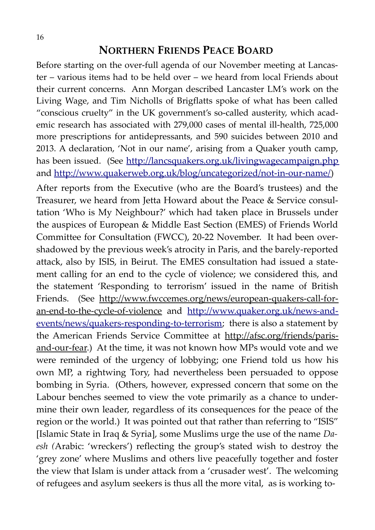#### **NORTHERN FRIENDS PEACE BOARD**

Before starting on the over-full agenda of our November meeting at Lancaster – various items had to be held over – we heard from local Friends about their current concerns. Ann Morgan described Lancaster LM's work on the Living Wage, and Tim Nicholls of Brigflatts spoke of what has been called "conscious cruelty" in the UK government's so-called austerity, which academic research has associated with 279,000 cases of mental ill-health, 725,000 more prescriptions for antidepressants, and 590 suicides between 2010 and 2013. A declaration, 'Not in our name', arising from a Quaker youth camp, has been issued. (See <http://lancsquakers.org.uk/livingwagecampaign.php> and [http://www.quakerweb.org.uk/blog/uncategorized/not-in-our-name/\)](http://www.quakerweb.org.uk/blog/uncategorized/not-in-our-name/)

After reports from the Executive (who are the Board's trustees) and the Treasurer, we heard from Jetta Howard about the Peace & Service consultation 'Who is My Neighbour?' which had taken place in Brussels under the auspices of European & Middle East Section (EMES) of Friends World Committee for Consultation (FWCC), 20-22 November. It had been overshadowed by the previous week's atrocity in Paris, and the barely-reported attack, also by ISIS, in Beirut. The EMES consultation had issued a statement calling for an end to the cycle of violence; we considered this, and the statement 'Responding to terrorism' issued in the name of British Friends. (See http://www.fwccemes.org/news/european-quakers-call-foran-end-to-the-cycle-of-violence and [http://www.quaker.org.uk/news-and](http://www.quaker.org.uk/news-and-events/news/quakers-responding-to-terrorism)[events/news/quakers-responding-to-terrorism;](http://www.quaker.org.uk/news-and-events/news/quakers-responding-to-terrorism) there is also a statement by the American Friends Service Committee at http://afsc.org/friends/parisand-our-fear.) At the time, it was not known how MPs would vote and we were reminded of the urgency of lobbying; one Friend told us how his own MP, a rightwing Tory, had nevertheless been persuaded to oppose bombing in Syria. (Others, however, expressed concern that some on the Labour benches seemed to view the vote primarily as a chance to undermine their own leader, regardless of its consequences for the peace of the region or the world.) It was pointed out that rather than referring to "ISIS" [Islamic State in Iraq & Syria], some Muslims urge the use of the name *Daesh (*Arabic: 'wreckers') reflecting the group's stated wish to destroy the 'grey zone' where Muslims and others live peacefully together and foster the view that Islam is under attack from a 'crusader west'. The welcoming of refugees and asylum seekers is thus all the more vital, as is working to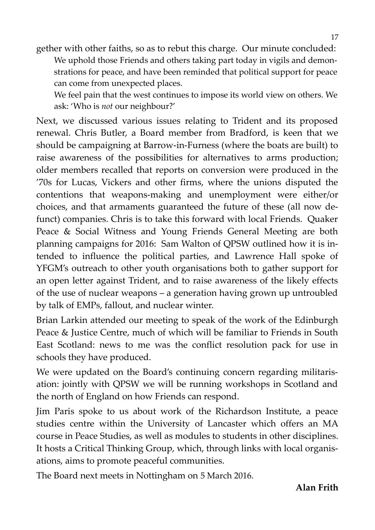gether with other faiths, so as to rebut this charge. Our minute concluded: We uphold those Friends and others taking part today in vigils and demonstrations for peace, and have been reminded that political support for peace can come from unexpected places.

We feel pain that the west continues to impose its world view on others. We ask: 'Who is *not* our neighbour?'

Next, we discussed various issues relating to Trident and its proposed renewal. Chris Butler, a Board member from Bradford, is keen that we should be campaigning at Barrow-in-Furness (where the boats are built) to raise awareness of the possibilities for alternatives to arms production; older members recalled that reports on conversion were produced in the '70s for Lucas, Vickers and other firms, where the unions disputed the contentions that weapons-making and unemployment were either/or choices, and that armaments guaranteed the future of these (all now defunct) companies. Chris is to take this forward with local Friends. Quaker Peace & Social Witness and Young Friends General Meeting are both planning campaigns for 2016: Sam Walton of QPSW outlined how it is intended to influence the political parties, and Lawrence Hall spoke of YFGM's outreach to other youth organisations both to gather support for an open letter against Trident, and to raise awareness of the likely effects of the use of nuclear weapons – a generation having grown up untroubled by talk of EMPs, fallout, and nuclear winter.

Brian Larkin attended our meeting to speak of the work of the Edinburgh Peace & Justice Centre, much of which will be familiar to Friends in South East Scotland: news to me was the conflict resolution pack for use in schools they have produced.

We were updated on the Board's continuing concern regarding militarisation: jointly with QPSW we will be running workshops in Scotland and the north of England on how Friends can respond.

Jim Paris spoke to us about work of the Richardson Institute, a peace studies centre within the University of Lancaster which offers an MA course in Peace Studies, as well as modules to students in other disciplines. It hosts a Critical Thinking Group, which, through links with local organisations, aims to promote peaceful communities.

The Board next meets in Nottingham on 5 March 2016.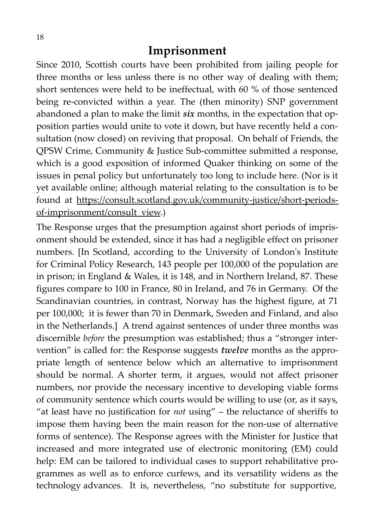## **Imprisonment**

Since 2010, Scottish courts have been prohibited from jailing people for three months or less unless there is no other way of dealing with them; short sentences were held to be ineffectual, with 60 % of those sentenced being re-convicted within a year. The (then minority) SNP government abandoned a plan to make the limit *six* months, in the expectation that opposition parties would unite to vote it down, but have recently held a consultation (now closed) on reviving that proposal. On behalf of Friends, the QPSW Crime, Community & Justice Sub-committee submitted a response, which is a good exposition of informed Quaker thinking on some of the issues in penal policy but unfortunately too long to include here. (Nor is it yet available online; although material relating to the consultation is to be found at [https://consult.scotland.gov.uk/community-justice/short-periods](https://consult.scotland.gov.uk/community-justice/short-periods-of-imprisonment/consult_view)[of-imprisonment/consult\\_view.](https://consult.scotland.gov.uk/community-justice/short-periods-of-imprisonment/consult_view))

The Response urges that the presumption against short periods of imprisonment should be extended, since it has had a negligible effect on prisoner numbers. [In Scotland, according to the University of London's Institute for Criminal Policy Research, 143 people per 100,000 of the population are in prison; in England & Wales, it is 148, and in Northern Ireland, 87. These figures compare to 100 in France, 80 in Ireland, and 76 in Germany. Of the Scandinavian countries, in contrast, Norway has the highest figure, at 71 per 100,000; it is fewer than 70 in Denmark, Sweden and Finland, and also in the Netherlands.] A trend against sentences of under three months was discernible *before* the presumption was established; thus a "stronger intervention" is called for: the Response suggests *twelve* months as the appropriate length of sentence below which an alternative to imprisonment should be normal. A shorter term, it argues, would not affect prisoner numbers, nor provide the necessary incentive to developing viable forms of community sentence which courts would be willing to use (or, as it says, "at least have no justification for *not* using" – the reluctance of sheriffs to impose them having been the main reason for the non-use of alternative forms of sentence). The Response agrees with the Minister for Justice that increased and more integrated use of electronic monitoring (EM) could help: EM can be tailored to individual cases to support rehabilitative programmes as well as to enforce curfews, and its versatility widens as the technology advances. It is, nevertheless, "no substitute for supportive,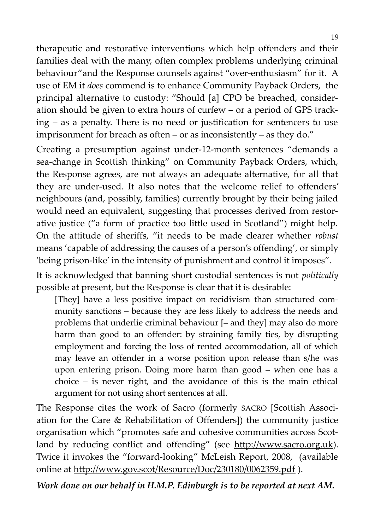therapeutic and restorative interventions which help offenders and their families deal with the many, often complex problems underlying criminal behaviour"and the Response counsels against "over-enthusiasm" for it. A use of EM it *does* commend is to enhance Community Payback Orders, the principal alternative to custody: "Should [a] CPO be breached, consideration should be given to extra hours of curfew – or a period of GPS tracking – as a penalty. There is no need or justification for sentencers to use imprisonment for breach as often – or as inconsistently – as they do."

Creating a presumption against under-12-month sentences "demands a sea-change in Scottish thinking" on Community Payback Orders, which, the Response agrees, are not always an adequate alternative, for all that they are under-used. It also notes that the welcome relief to offenders' neighbours (and, possibly, families) currently brought by their being jailed would need an equivalent, suggesting that processes derived from restorative justice ("a form of practice too little used in Scotland") might help. On the attitude of sheriffs, "it needs to be made clearer whether *robust* means 'capable of addressing the causes of a person's offending', or simply 'being prison-like' in the intensity of punishment and control it imposes".

It is acknowledged that banning short custodial sentences is not *politically* possible at present, but the Response is clear that it is desirable:

[They] have a less positive impact on recidivism than structured community sanctions – because they are less likely to address the needs and problems that underlie criminal behaviour [– and they] may also do more harm than good to an offender: by straining family ties, by disrupting employment and forcing the loss of rented accommodation, all of which may leave an offender in a worse position upon release than s/he was upon entering prison. Doing more harm than good – when one has a choice – is never right, and the avoidance of this is the main ethical argument for not using short sentences at all.

The Response cites the work of Sacro (formerly SACRO [Scottish Association for the Care & Rehabilitation of Offenders]) the community justice organisation which "promotes safe and cohesive communities across Scotland by reducing conflict and offending" (see [http://www.sacro.org.uk\)](http://www.sacro.org.uk/). Twice it invokes the "forward-looking" McLeish Report, 2008, (available online at http://www.gov.scot/Resource/Doc/230180/0062359.pdf).

*Work done on our behalf in H.M.P. Edinburgh is to be reported at next AM.* 

.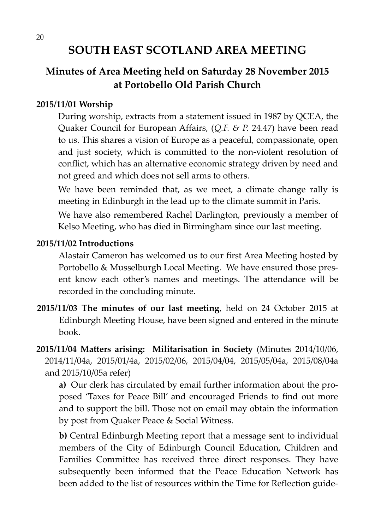# **SOUTH EAST SCOTLAND AREA MEETING**

# **Minutes of Area Meeting held on Saturday 28 November 2015 at Portobello Old Parish Church**

#### **2015/11/01 Worship**

During worship, extracts from a statement issued in 1987 by QCEA, the Quaker Council for European Affairs, (*Q.F. & P.* 24.47) have been read to us. This shares a vision of Europe as a peaceful, compassionate, open and just society, which is committed to the non-violent resolution of conflict, which has an alternative economic strategy driven by need and not greed and which does not sell arms to others.

We have been reminded that, as we meet, a climate change rally is meeting in Edinburgh in the lead up to the climate summit in Paris.

We have also remembered Rachel Darlington, previously a member of Kelso Meeting, who has died in Birmingham since our last meeting.

#### **2015/11/02 Introductions**

Alastair Cameron has welcomed us to our first Area Meeting hosted by Portobello & Musselburgh Local Meeting. We have ensured those present know each other's names and meetings. The attendance will be recorded in the concluding minute.

**2015/11/03 The minutes of our last meeting**, held on 24 October 2015 at Edinburgh Meeting House, have been signed and entered in the minute book.

**2015/11/04 Matters arising: Militarisation in Society** (Minutes 2014/10/06, 2014/11/04a, 2015/01/4a, 2015/02/06, 2015/04/04, 2015/05/04a, 2015/08/04a and 2015/10/05a refer)

**a)** Our clerk has circulated by email further information about the proposed 'Taxes for Peace Bill' and encouraged Friends to find out more and to support the bill. Those not on email may obtain the information by post from Quaker Peace & Social Witness.

**b)** Central Edinburgh Meeting report that a message sent to individual members of the City of Edinburgh Council Education, Children and Families Committee has received three direct responses. They have subsequently been informed that the Peace Education Network has been added to the list of resources within the Time for Reflection guide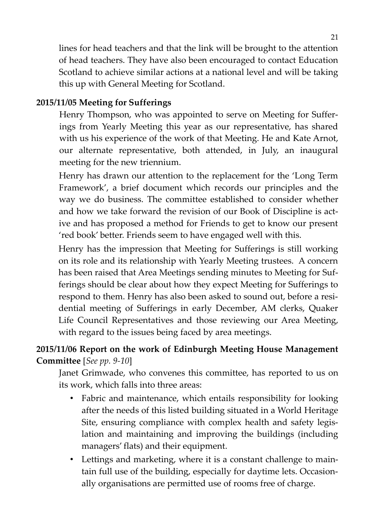lines for head teachers and that the link will be brought to the attention of head teachers. They have also been encouraged to contact Education Scotland to achieve similar actions at a national level and will be taking this up with General Meeting for Scotland.

#### **2015/11/05 Meeting for Sufferings**

Henry Thompson, who was appointed to serve on Meeting for Sufferings from Yearly Meeting this year as our representative, has shared with us his experience of the work of that Meeting. He and Kate Arnot, our alternate representative, both attended, in July, an inaugural meeting for the new triennium.

Henry has drawn our attention to the replacement for the 'Long Term Framework', a brief document which records our principles and the way we do business. The committee established to consider whether and how we take forward the revision of our Book of Discipline is active and has proposed a method for Friends to get to know our present 'red book' better. Friends seem to have engaged well with this.

Henry has the impression that Meeting for Sufferings is still working on its role and its relationship with Yearly Meeting trustees. A concern has been raised that Area Meetings sending minutes to Meeting for Sufferings should be clear about how they expect Meeting for Sufferings to respond to them. Henry has also been asked to sound out, before a residential meeting of Sufferings in early December, AM clerks, Quaker Life Council Representatives and those reviewing our Area Meeting, with regard to the issues being faced by area meetings.

## **2015/11/06 Report on the work of Edinburgh Meeting House Management Committee** [*See pp. 9-10*]

Janet Grimwade, who convenes this committee, has reported to us on its work, which falls into three areas:

- Fabric and maintenance, which entails responsibility for looking after the needs of this listed building situated in a World Heritage Site, ensuring compliance with complex health and safety legislation and maintaining and improving the buildings (including managers' flats) and their equipment.
- Lettings and marketing, where it is a constant challenge to maintain full use of the building, especially for daytime lets. Occasionally organisations are permitted use of rooms free of charge.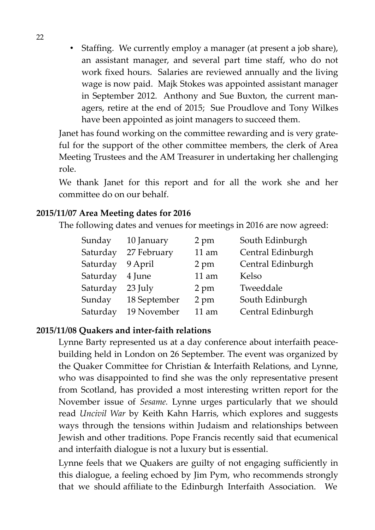• Staffing. We currently employ a manager (at present a job share), an assistant manager, and several part time staff, who do not work fixed hours. Salaries are reviewed annually and the living wage is now paid. Majk Stokes was appointed assistant manager in September 2012. Anthony and Sue Buxton, the current managers, retire at the end of 2015; Sue Proudlove and Tony Wilkes have been appointed as joint managers to succeed them.

Janet has found working on the committee rewarding and is very grateful for the support of the other committee members, the clerk of Area Meeting Trustees and the AM Treasurer in undertaking her challenging role.

We thank Janet for this report and for all the work she and her committee do on our behalf.

#### **2015/11/07 Area Meeting dates for 2016**

The following dates and venues for meetings in 2016 are now agreed:

| Sunday   | 10 January   | 2 pm    | South Edinburgh   |
|----------|--------------|---------|-------------------|
| Saturday | 27 February  | $11$ am | Central Edinburgh |
| Saturday | 9 April      | 2 pm    | Central Edinburgh |
| Saturday | 4 June       | 11 am   | Kelso             |
| Saturday | 23 July      | 2 pm    | Tweeddale         |
| Sunday   | 18 September | 2 pm    | South Edinburgh   |
| Saturday | 19 November  | 11 am   | Central Edinburgh |

#### **2015/11/08 Quakers and inter-faith relations**

Lynne Barty represented us at a day conference about interfaith peacebuilding held in London on 26 September. The event was organized by the Quaker Committee for Christian & Interfaith Relations, and Lynne, who was disappointed to find she was the only representative present from Scotland, has provided a most interesting written report for the November issue of *Sesame.* Lynne urges particularly that we should read *Uncivil War* by Keith Kahn Harris, which explores and suggests ways through the tensions within Judaism and relationships between Jewish and other traditions. Pope Francis recently said that ecumenical and interfaith dialogue is not a luxury but is essential.

Lynne feels that we Quakers are guilty of not engaging sufficiently in this dialogue, a feeling echoed by Jim Pym, who recommends strongly that we should affiliate to the Edinburgh Interfaith Association. We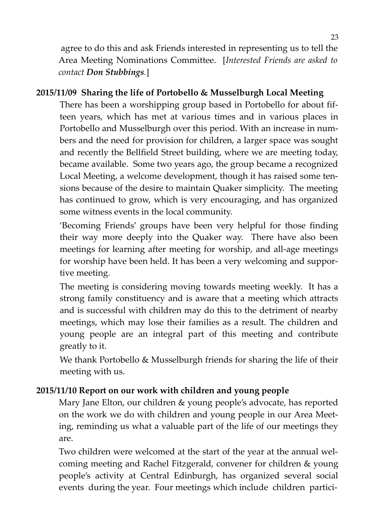agree to do this and ask Friends interested in representing us to tell the Area Meeting Nominations Committee. [*Interested Friends are asked to contact Don Stubbings.*]

#### **2015/11/09 Sharing the life of Portobello & Musselburgh Local Meeting**

There has been a worshipping group based in Portobello for about fifteen years, which has met at various times and in various places in Portobello and Musselburgh over this period. With an increase in numbers and the need for provision for children, a larger space was sought and recently the Bellfield Street building, where we are meeting today, became available. Some two years ago, the group became a recognized Local Meeting, a welcome development, though it has raised some tensions because of the desire to maintain Quaker simplicity. The meeting has continued to grow, which is very encouraging, and has organized some witness events in the local community.

'Becoming Friends' groups have been very helpful for those finding their way more deeply into the Quaker way. There have also been meetings for learning after meeting for worship, and all-age meetings for worship have been held. It has been a very welcoming and supportive meeting.

The meeting is considering moving towards meeting weekly. It has a strong family constituency and is aware that a meeting which attracts and is successful with children may do this to the detriment of nearby meetings, which may lose their families as a result. The children and young people are an integral part of this meeting and contribute greatly to it.

We thank Portobello & Musselburgh friends for sharing the life of their meeting with us.

#### **2015/11/10 Report on our work with children and young people**

Mary Jane Elton, our children & young people's advocate, has reported on the work we do with children and young people in our Area Meeting, reminding us what a valuable part of the life of our meetings they are.

Two children were welcomed at the start of the year at the annual welcoming meeting and Rachel Fitzgerald, convener for children & young people's activity at Central Edinburgh, has organized several social events during the year. Four meetings which include children partici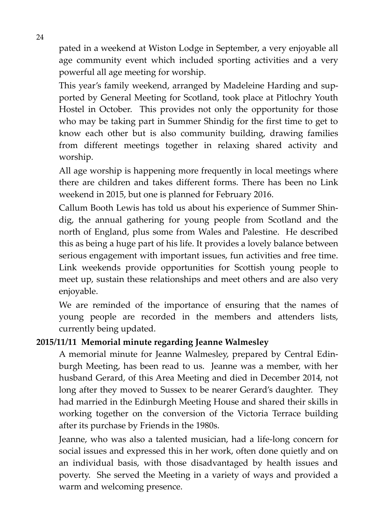pated in a weekend at Wiston Lodge in September, a very enjoyable all age community event which included sporting activities and a very powerful all age meeting for worship.

This year's family weekend, arranged by Madeleine Harding and supported by General Meeting for Scotland, took place at Pitlochry Youth Hostel in October. This provides not only the opportunity for those who may be taking part in Summer Shindig for the first time to get to know each other but is also community building, drawing families from different meetings together in relaxing shared activity and worship.

All age worship is happening more frequently in local meetings where there are children and takes different forms. There has been no Link weekend in 2015, but one is planned for February 2016.

Callum Booth Lewis has told us about his experience of Summer Shindig, the annual gathering for young people from Scotland and the north of England, plus some from Wales and Palestine. He described this as being a huge part of his life. It provides a lovely balance between serious engagement with important issues, fun activities and free time. Link weekends provide opportunities for Scottish young people to meet up, sustain these relationships and meet others and are also very enjoyable.

We are reminded of the importance of ensuring that the names of young people are recorded in the members and attenders lists, currently being updated.

#### **2015/11/11 Memorial minute regarding Jeanne Walmesley**

A memorial minute for Jeanne Walmesley, prepared by Central Edinburgh Meeting, has been read to us. Jeanne was a member, with her husband Gerard, of this Area Meeting and died in December 2014, not long after they moved to Sussex to be nearer Gerard's daughter. They had married in the Edinburgh Meeting House and shared their skills in working together on the conversion of the Victoria Terrace building after its purchase by Friends in the 1980s.

Jeanne, who was also a talented musician, had a life-long concern for social issues and expressed this in her work, often done quietly and on an individual basis, with those disadvantaged by health issues and poverty. She served the Meeting in a variety of ways and provided a warm and welcoming presence.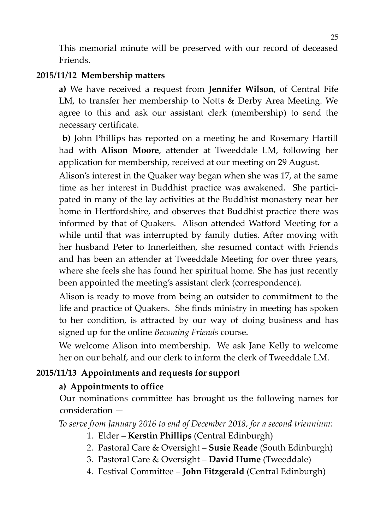This memorial minute will be preserved with our record of deceased Friends.

#### **2015/11/12 Membership matters**

**a)** We have received a request from **Jennifer Wilson**, of Central Fife LM, to transfer her membership to Notts & Derby Area Meeting. We agree to this and ask our assistant clerk (membership) to send the necessary certificate.

 **b)** John Phillips has reported on a meeting he and Rosemary Hartill had with **Alison Moore**, attender at Tweeddale LM, following her application for membership, received at our meeting on 29 August.

Alison's interest in the Quaker way began when she was 17, at the same time as her interest in Buddhist practice was awakened. She participated in many of the lay activities at the Buddhist monastery near her home in Hertfordshire, and observes that Buddhist practice there was informed by that of Quakers. Alison attended Watford Meeting for a while until that was interrupted by family duties. After moving with her husband Peter to Innerleithen, she resumed contact with Friends and has been an attender at Tweeddale Meeting for over three years, where she feels she has found her spiritual home. She has just recently been appointed the meeting's assistant clerk (correspondence).

Alison is ready to move from being an outsider to commitment to the life and practice of Quakers. She finds ministry in meeting has spoken to her condition, is attracted by our way of doing business and has signed up for the online *Becoming Friends* course.

We welcome Alison into membership. We ask Jane Kelly to welcome her on our behalf, and our clerk to inform the clerk of Tweeddale LM.

#### **2015/11/13 Appointments and requests for support**

#### **a) Appointments to office**

Our nominations committee has brought us the following names for consideration —

*To serve from January 2016 to end of December 2018, for a second triennium:*

- 1. Elder **Kerstin Phillips** (Central Edinburgh)
- 2. Pastoral Care & Oversight **Susie Reade** (South Edinburgh)
- 3. Pastoral Care & Oversight **David Hume** (Tweeddale)
- 4. Festival Committee **John Fitzgerald** (Central Edinburgh)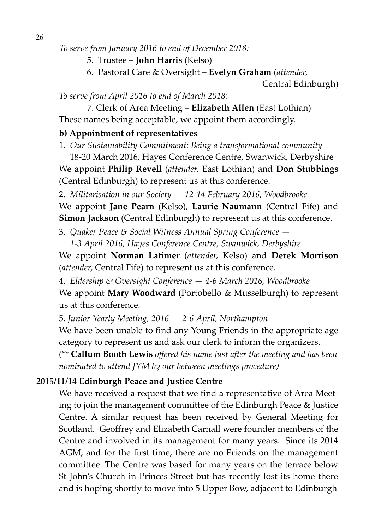*To serve from January 2016 to end of December 2018:*

- 5. Trustee **John Harris** (Kelso)
- 6. Pastoral Care & Oversight **Evelyn Graham** (*attender*,

*To serve from April 2016 to end of March 2018:*

7. Clerk of Area Meeting – **Elizabeth Allen** (East Lothian) These names being acceptable, we appoint them accordingly.

#### **b) Appointment of representatives**

1. *Our Sustainability Commitment: Being a transformational community —*

18-20 March 2016, Hayes Conference Centre, Swanwick, Derbyshire We appoint **Philip Revell** (*attender,* East Lothian) and **Don Stubbings** (Central Edinburgh) to represent us at this conference.

2. *Militarisation in our Society — 12-14 February 2016, Woodbrooke*

We appoint **Jane Pearn** (Kelso), **Laurie Naumann** (Central Fife) and **Simon Jackson** (Central Edinburgh) to represent us at this conference.

3. *Quaker Peace & Social Witness Annual Spring Conference —*

 *1-3 April 2016, Hayes Conference Centre, Swanwick, Derbyshire* We appoint **Norman Latimer** (*attender*, Kelso) and **Derek Morrison** (*attender*, Central Fife) to represent us at this conference.

4. *Eldership & Oversight Conference — 4-6 March 2016, Woodbrooke*

We appoint **Mary Woodward** (Portobello & Musselburgh) to represent us at this conference.

5. *Junior Yearly Meeting, 2016* — *2-6 April, Northampton*

We have been unable to find any Young Friends in the appropriate age category to represent us and ask our clerk to inform the organizers.

(\*\* **Callum Booth Lewis** *offered his name just after the meeting and has been nominated to attend JYM by our between meetings procedure)*

#### **2015/11/14 Edinburgh Peace and Justice Centre**

We have received a request that we find a representative of Area Meeting to join the management committee of the Edinburgh Peace & Justice Centre. A similar request has been received by General Meeting for Scotland. Geoffrey and Elizabeth Carnall were founder members of the Centre and involved in its management for many years. Since its 2014 AGM, and for the first time, there are no Friends on the management committee. The Centre was based for many years on the terrace below St John's Church in Princes Street but has recently lost its home there and is hoping shortly to move into 5 Upper Bow, adjacent to Edinburgh

Central Edinburgh)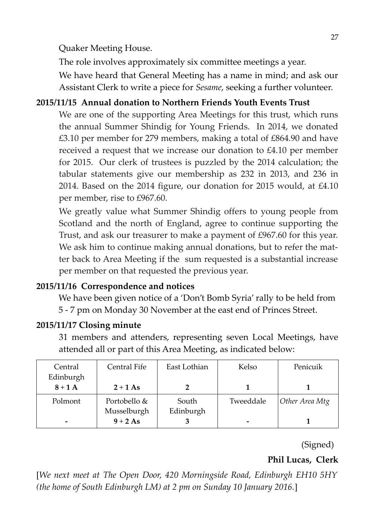Quaker Meeting House.

The role involves approximately six committee meetings a year.

We have heard that General Meeting has a name in mind; and ask our Assistant Clerk to write a piece for *Sesame*, seeking a further volunteer.

#### **2015/11/15 Annual donation to Northern Friends Youth Events Trust**

We are one of the supporting Area Meetings for this trust, which runs the annual Summer Shindig for Young Friends. In 2014, we donated £3.10 per member for 279 members, making a total of £864.90 and have received a request that we increase our donation to £4.10 per member for 2015. Our clerk of trustees is puzzled by the 2014 calculation; the tabular statements give our membership as 232 in 2013, and 236 in 2014. Based on the 2014 figure, our donation for 2015 would, at £4.10 per member, rise to £967.60.

We greatly value what Summer Shindig offers to young people from Scotland and the north of England, agree to continue supporting the Trust, and ask our treasurer to make a payment of £967.60 for this year. We ask him to continue making annual donations, but to refer the matter back to Area Meeting if the sum requested is a substantial increase per member on that requested the previous year.

#### **2015/11/16 Correspondence and notices**

We have been given notice of a 'Don't Bomb Syria' rally to be held from 5 - 7 pm on Monday 30 November at the east end of Princes Street.

#### **2015/11/17 Closing minute**

31 members and attenders, representing seven Local Meetings, have attended all or part of this Area Meeting, as indicated below:

| Central                  | Central Fife | East Lothian | Kelso     | Penicuik       |
|--------------------------|--------------|--------------|-----------|----------------|
| Edinburgh                |              |              |           |                |
| $8+1A$                   | $2+1$ As     |              |           |                |
| Polmont                  | Portobello & | South        | Tweeddale | Other Area Mtg |
|                          | Musselburgh  | Edinburgh    |           |                |
| $\overline{\phantom{0}}$ | $9+2As$      |              | -         |                |

(Signed)

**Phil Lucas, Clerk**

[*We next meet at The Open Door, 420 Morningside Road, Edinburgh EH10 5HY (the home of South Edinburgh LM) at 2 pm on Sunday 10 January 2016.*]